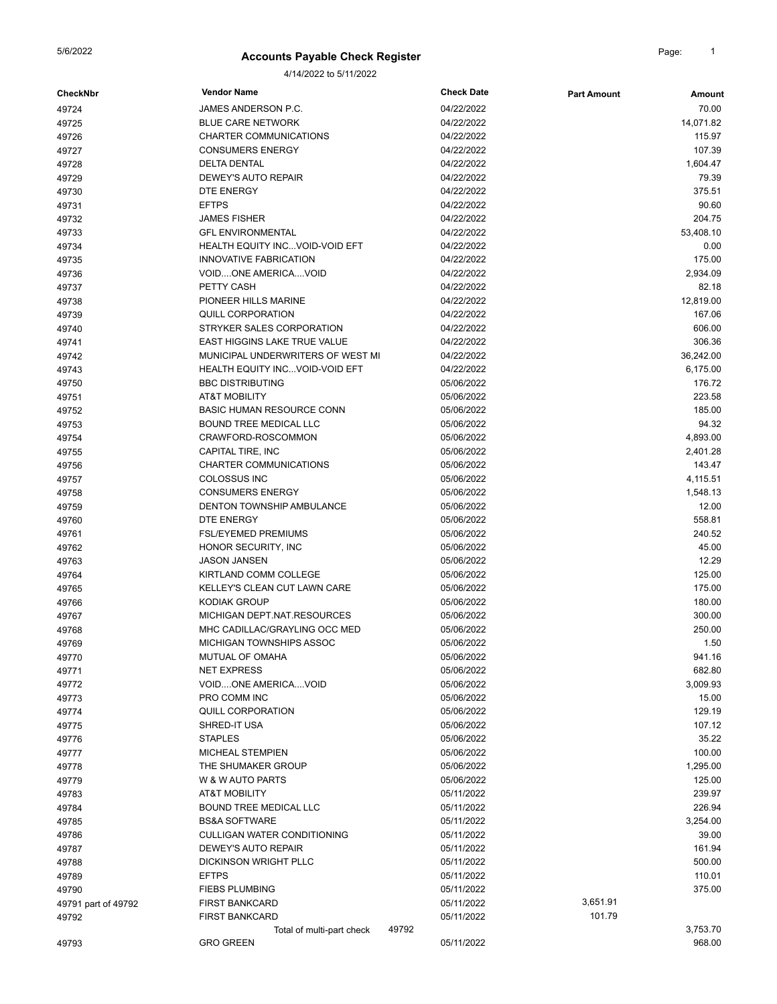## 5/6/2022 **Accounts Payable Check Register Accounts Page:** 1

4/14/2022 to 5/11/2022

| <b>CheckNbr</b>     | <b>Vendor Name</b>                       | <b>Check Date</b>        | <b>Part Amount</b> | <b>Amount</b>    |
|---------------------|------------------------------------------|--------------------------|--------------------|------------------|
| 49724               | JAMES ANDERSON P.C.                      | 04/22/2022               |                    | 70.00            |
| 49725               | <b>BLUE CARE NETWORK</b>                 | 04/22/2022               |                    | 14,071.82        |
| 49726               | CHARTER COMMUNICATIONS                   | 04/22/2022               |                    | 115.97           |
| 49727               | <b>CONSUMERS ENERGY</b>                  | 04/22/2022               |                    | 107.39           |
| 49728               | <b>DELTA DENTAL</b>                      | 04/22/2022               |                    | 1,604.47         |
| 49729               | DEWEY'S AUTO REPAIR                      | 04/22/2022               |                    | 79.39            |
| 49730               | DTE ENERGY                               | 04/22/2022               |                    | 375.51           |
| 49731               | <b>EFTPS</b>                             | 04/22/2022               |                    | 90.60            |
| 49732               | <b>JAMES FISHER</b>                      | 04/22/2022               |                    | 204.75           |
| 49733               | <b>GFL ENVIRONMENTAL</b>                 | 04/22/2022               |                    | 53,408.10        |
| 49734               | <b>HEALTH EQUITY INCVOID-VOID EFT</b>    | 04/22/2022               |                    | 0.00             |
| 49735               | <b>INNOVATIVE FABRICATION</b>            | 04/22/2022               |                    | 175.00           |
| 49736               | VOIDONE AMERICAVOID                      | 04/22/2022               |                    | 2,934.09         |
| 49737               | PETTY CASH                               | 04/22/2022               |                    | 82.18            |
| 49738               | PIONEER HILLS MARINE                     | 04/22/2022               |                    | 12,819.00        |
| 49739               | <b>QUILL CORPORATION</b>                 | 04/22/2022               |                    | 167.06           |
| 49740               | STRYKER SALES CORPORATION                | 04/22/2022               |                    | 606.00           |
| 49741               | EAST HIGGINS LAKE TRUE VALUE             | 04/22/2022               |                    | 306.36           |
| 49742               | MUNICIPAL UNDERWRITERS OF WEST MI        | 04/22/2022               |                    | 36,242.00        |
| 49743               | <b>HEALTH EQUITY INCVOID-VOID EFT</b>    | 04/22/2022               |                    | 6,175.00         |
| 49750               | <b>BBC DISTRIBUTING</b>                  | 05/06/2022               |                    | 176.72           |
| 49751               | <b>AT&amp;T MOBILITY</b>                 | 05/06/2022               |                    | 223.58           |
| 49752               | <b>BASIC HUMAN RESOURCE CONN</b>         | 05/06/2022               |                    | 185.00           |
| 49753               | <b>BOUND TREE MEDICAL LLC</b>            | 05/06/2022               |                    | 94.32            |
| 49754               | CRAWFORD-ROSCOMMON                       | 05/06/2022               |                    | 4,893.00         |
| 49755               | CAPITAL TIRE, INC                        | 05/06/2022               |                    | 2,401.28         |
| 49756               | CHARTER COMMUNICATIONS                   | 05/06/2022               |                    | 143.47           |
| 49757               | <b>COLOSSUS INC</b>                      | 05/06/2022               |                    | 4,115.51         |
| 49758               | <b>CONSUMERS ENERGY</b>                  | 05/06/2022               |                    | 1,548.13         |
| 49759               | DENTON TOWNSHIP AMBULANCE                | 05/06/2022               |                    | 12.00            |
| 49760               | DTE ENERGY<br><b>FSL/EYEMED PREMIUMS</b> | 05/06/2022<br>05/06/2022 |                    | 558.81<br>240.52 |
| 49761<br>49762      | HONOR SECURITY, INC                      | 05/06/2022               |                    | 45.00            |
| 49763               | <b>JASON JANSEN</b>                      | 05/06/2022               |                    | 12.29            |
| 49764               | KIRTLAND COMM COLLEGE                    | 05/06/2022               |                    | 125.00           |
| 49765               | KELLEY'S CLEAN CUT LAWN CARE             | 05/06/2022               |                    | 175.00           |
| 49766               | <b>KODIAK GROUP</b>                      | 05/06/2022               |                    | 180.00           |
| 49767               | MICHIGAN DEPT.NAT.RESOURCES              | 05/06/2022               |                    | 300.00           |
| 49768               | MHC CADILLAC/GRAYLING OCC MED            | 05/06/2022               |                    | 250.00           |
| 49769               | MICHIGAN TOWNSHIPS ASSOC                 | 05/06/2022               |                    | 1.50             |
| 49770               | MUTUAL OF OMAHA                          | 05/06/2022               |                    | 941.16           |
| 49771               | <b>NET EXPRESS</b>                       | 05/06/2022               |                    | 682.80           |
| 49772               | VOIDONE AMERICAVOID                      | 05/06/2022               |                    | 3,009.93         |
| 49773               | PRO COMM INC                             | 05/06/2022               |                    | 15.00            |
| 49774               | QUILL CORPORATION                        | 05/06/2022               |                    | 129.19           |
| 49775               | SHRED-IT USA                             | 05/06/2022               |                    | 107.12           |
| 49776               | <b>STAPLES</b>                           | 05/06/2022               |                    | 35.22            |
| 49777               | <b>MICHEAL STEMPIEN</b>                  | 05/06/2022               |                    | 100.00           |
| 49778               | THE SHUMAKER GROUP                       | 05/06/2022               |                    | 1,295.00         |
| 49779               | W & W AUTO PARTS                         | 05/06/2022               |                    | 125.00           |
| 49783               | <b>AT&amp;T MOBILITY</b>                 | 05/11/2022               |                    | 239.97           |
| 49784               | <b>BOUND TREE MEDICAL LLC</b>            | 05/11/2022               |                    | 226.94           |
| 49785               | <b>BS&amp;A SOFTWARE</b>                 | 05/11/2022               |                    | 3,254.00         |
| 49786               | <b>CULLIGAN WATER CONDITIONING</b>       | 05/11/2022               |                    | 39.00            |
| 49787               | DEWEY'S AUTO REPAIR                      | 05/11/2022               |                    | 161.94           |
| 49788               | <b>DICKINSON WRIGHT PLLC</b>             | 05/11/2022               |                    | 500.00           |
| 49789               | <b>EFTPS</b>                             | 05/11/2022               |                    | 110.01           |
| 49790               | <b>FIEBS PLUMBING</b>                    | 05/11/2022               |                    | 375.00           |
| 49791 part of 49792 | <b>FIRST BANKCARD</b>                    | 05/11/2022               | 3,651.91           |                  |
| 49792               | <b>FIRST BANKCARD</b>                    | 05/11/2022               | 101.79             |                  |
|                     | 49792<br>Total of multi-part check       |                          |                    | 3,753.70         |
| 49793               | <b>GRO GREEN</b>                         | 05/11/2022               |                    | 968.00           |